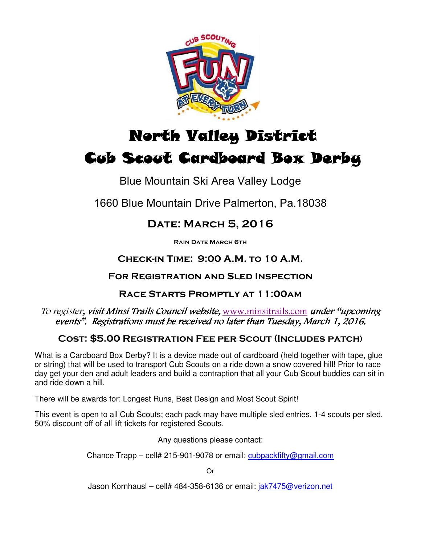

# North Valley District North Valley District Cub Scout Cardboard Box Derby

# Blue Mountain Ski Area Valley Lodge

1660 Blue Mountain Drive Palmerton, Pa.18038

# Date: March 5, 2016

Rain Date March 6th

# Check-in Time: 9:00 A.M. to 10 A.M.

### For Registration and Sled Inspection

## Race Starts Promptly at 11:00am

#### To register, visit Minsi Trails Council website, www.minsitrails.com under "upcoming events". Registrations must be received no later than Tuesday, March 1, 2016.

## Cost: \$5.00 Registration Fee per Scout (Includes patch)

What is a Cardboard Box Derby? It is a device made out of cardboard (held together with tape, glue or string) that will be used to transport Cub Scouts on a ride down a snow covered hill! Prior to race day get your den and adult leaders and build a contraption that all your Cub Scout buddies can sit in and ride down a hill.

There will be awards for: Longest Runs, Best Design and Most Scout Spirit!

This event is open to all Cub Scouts; each pack may have multiple sled entries. 1-4 scouts per sled. 50% discount off of all lift tickets for registered Scouts.

Any questions please contact:

Chance Trapp – cell# 215-901-9078 or email: cubpackfifty@gmail.com

Or

Jason Kornhausl – cell# 484-358-6136 or email: jak7475@verizon.net